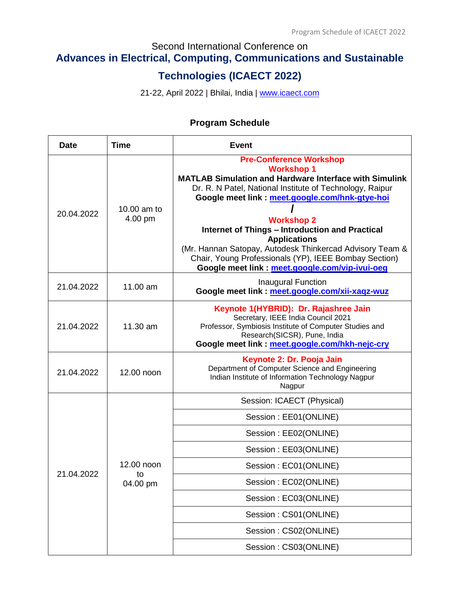# Second International Conference on

# **Advances in Electrical, Computing, Communications and Sustainable**

# **Technologies (ICAECT 2022)**

21-22, April 2022 | Bhilai, India | [www.icaect.com](http://www.icaect.com/)

# **Program Schedule**

| <b>Date</b> | Time                         | <b>Event</b>                                                                                                                                                                                                                                                                                                                                                                                                                                                                                                      |
|-------------|------------------------------|-------------------------------------------------------------------------------------------------------------------------------------------------------------------------------------------------------------------------------------------------------------------------------------------------------------------------------------------------------------------------------------------------------------------------------------------------------------------------------------------------------------------|
| 20.04.2022  | 10.00 am to<br>4.00 pm       | <b>Pre-Conference Workshop</b><br><b>Workshop 1</b><br><b>MATLAB Simulation and Hardware Interface with Simulink</b><br>Dr. R. N Patel, National Institute of Technology, Raipur<br>Google meet link : meet.google.com/hnk-gtye-hoi<br><b>Workshop 2</b><br><b>Internet of Things - Introduction and Practical</b><br><b>Applications</b><br>(Mr. Hannan Satopay, Autodesk Thinkercad Advisory Team &<br>Chair, Young Professionals (YP), IEEE Bombay Section)<br>Google meet link : meet.google.com/vip-ivui-oeg |
| 21.04.2022  | 11.00 am                     | Inaugural Function<br>Google meet link : meet.google.com/xii-xaqz-wuz                                                                                                                                                                                                                                                                                                                                                                                                                                             |
| 21.04.2022  | 11.30 am                     | Keynote 1(HYBRID): Dr. Rajashree Jain<br>Secretary, IEEE India Council 2021<br>Professor, Symbiosis Institute of Computer Studies and<br>Research(SICSR), Pune, India<br>Google meet link: meet.google.com/hkh-nejc-cry                                                                                                                                                                                                                                                                                           |
| 21.04.2022  | 12.00 noon                   | Keynote 2: Dr. Pooja Jain<br>Department of Computer Science and Engineering<br>Indian Institute of Information Technology Nagpur<br>Nagpur                                                                                                                                                                                                                                                                                                                                                                        |
|             | 12.00 noon<br>to<br>04.00 pm | Session: ICAECT (Physical)                                                                                                                                                                                                                                                                                                                                                                                                                                                                                        |
|             |                              | Session: EE01(ONLINE)                                                                                                                                                                                                                                                                                                                                                                                                                                                                                             |
|             |                              | Session: EE02(ONLINE)                                                                                                                                                                                                                                                                                                                                                                                                                                                                                             |
|             |                              | Session: EE03(ONLINE)                                                                                                                                                                                                                                                                                                                                                                                                                                                                                             |
| 21.04.2022  |                              | Session: EC01(ONLINE)                                                                                                                                                                                                                                                                                                                                                                                                                                                                                             |
|             |                              | Session: EC02(ONLINE)                                                                                                                                                                                                                                                                                                                                                                                                                                                                                             |
|             |                              | Session: EC03(ONLINE)                                                                                                                                                                                                                                                                                                                                                                                                                                                                                             |
|             |                              | Session: CS01(ONLINE)                                                                                                                                                                                                                                                                                                                                                                                                                                                                                             |
|             |                              | Session: CS02(ONLINE)                                                                                                                                                                                                                                                                                                                                                                                                                                                                                             |
|             |                              | Session: CS03(ONLINE)                                                                                                                                                                                                                                                                                                                                                                                                                                                                                             |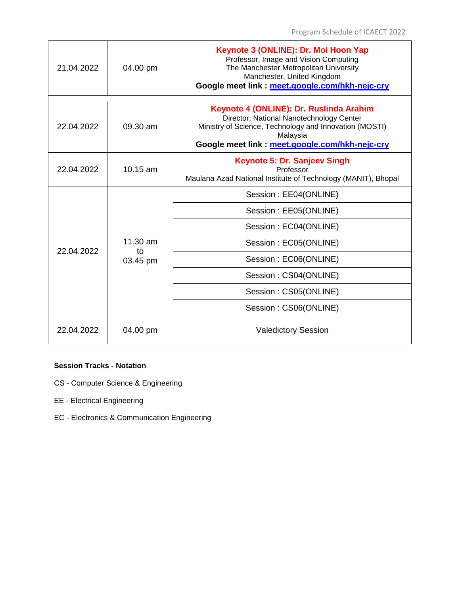| 21.04.2022 | 04.00 pm                             | Keynote 3 (ONLINE): Dr. Moi Hoon Yap<br>Professor, Image and Vision Computing<br>The Manchester Metropolitan University<br>Manchester, United Kingdom<br>Google meet link : meet.google.com/hkh-nejc-cry    |
|------------|--------------------------------------|-------------------------------------------------------------------------------------------------------------------------------------------------------------------------------------------------------------|
| 22.04.2022 | $09.30 \text{ am}$                   | Keynote 4 (ONLINE): Dr. Ruslinda Arahim<br>Director, National Nanotechnology Center<br>Ministry of Science, Technology and Innovation (MOSTI)<br>Malaysia<br>Google meet link: meet.google.com/hkh-nejc-cry |
| 22.04.2022 | 10.15 am                             | Keynote 5: Dr. Sanjeev Singh<br>Professor<br>Maulana Azad National Institute of Technology (MANIT), Bhopal                                                                                                  |
|            | $11.30 \text{ am}$<br>to<br>03.45 pm | Session: EE04(ONLINE)                                                                                                                                                                                       |
|            |                                      | Session: EE05(ONLINE)                                                                                                                                                                                       |
|            |                                      | Session: EC04(ONLINE)                                                                                                                                                                                       |
| 22.04.2022 |                                      | Session: EC05(ONLINE)                                                                                                                                                                                       |
|            |                                      | Session: EC06(ONLINE)                                                                                                                                                                                       |
|            |                                      | Session: CS04(ONLINE)                                                                                                                                                                                       |
|            |                                      | Session: CS05(ONLINE)                                                                                                                                                                                       |
|            |                                      | Session: CS06(ONLINE)                                                                                                                                                                                       |
| 22.04.2022 | 04.00 pm                             | <b>Valedictory Session</b>                                                                                                                                                                                  |

#### **Session Tracks - Notation**

- CS Computer Science & Engineering
- EE Electrical Engineering
- EC Electronics & Communication Engineering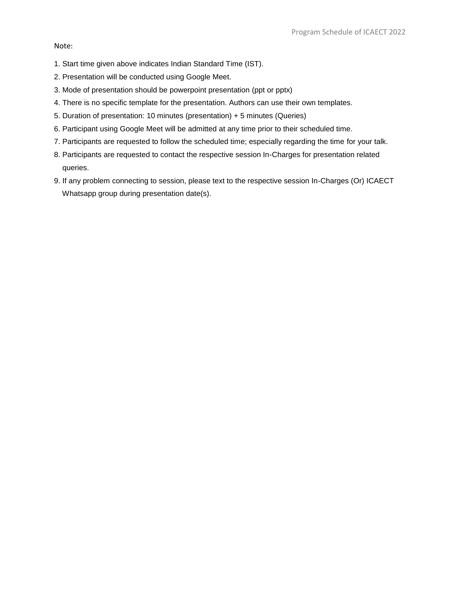#### Note:

- 1. Start time given above indicates Indian Standard Time (IST).
- 2. Presentation will be conducted using Google Meet.
- 3. Mode of presentation should be powerpoint presentation (ppt or pptx)
- 4. There is no specific template for the presentation. Authors can use their own templates.
- 5. Duration of presentation: 10 minutes (presentation) + 5 minutes (Queries)
- 6. Participant using Google Meet will be admitted at any time prior to their scheduled time.
- 7. Participants are requested to follow the scheduled time; especially regarding the time for your talk.
- 8. Participants are requested to contact the respective session In-Charges for presentation related queries.
- 9. If any problem connecting to session, please text to the respective session In-Charges (Or) ICAECT Whatsapp group during presentation date(s).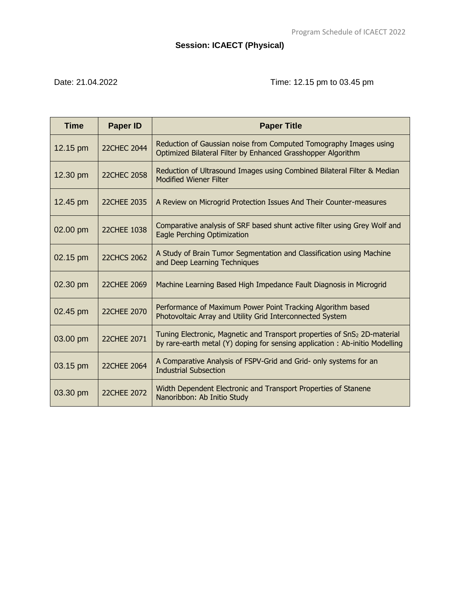# **Session: ICAECT (Physical)**

# Date: 21.04.2022 Time: 12.15 pm to 03.45 pm

| <b>Time</b> | <b>Paper ID</b>    | <b>Paper Title</b>                                                                                                                                                  |
|-------------|--------------------|---------------------------------------------------------------------------------------------------------------------------------------------------------------------|
| 12.15 pm    | 22CHEC 2044        | Reduction of Gaussian noise from Computed Tomography Images using<br>Optimized Bilateral Filter by Enhanced Grasshopper Algorithm                                   |
| 12.30 pm    | <b>22CHEC 2058</b> | Reduction of Ultrasound Images using Combined Bilateral Filter & Median<br><b>Modified Wiener Filter</b>                                                            |
| 12.45 pm    | 22CHEE 2035        | A Review on Microgrid Protection Issues And Their Counter-measures                                                                                                  |
| 02.00 pm    | 22CHEE 1038        | Comparative analysis of SRF based shunt active filter using Grey Wolf and<br>Eagle Perching Optimization                                                            |
| 02.15 pm    | <b>22CHCS 2062</b> | A Study of Brain Tumor Segmentation and Classification using Machine<br>and Deep Learning Techniques                                                                |
| 02.30 pm    | 22CHEE 2069        | Machine Learning Based High Impedance Fault Diagnosis in Microgrid                                                                                                  |
| 02.45 pm    | 22CHEE 2070        | Performance of Maximum Power Point Tracking Algorithm based<br>Photovoltaic Array and Utility Grid Interconnected System                                            |
| 03.00 pm    | 22CHEE 2071        | Tuning Electronic, Magnetic and Transport properties of SnS <sub>2</sub> 2D-material<br>by rare-earth metal (Y) doping for sensing application: Ab-initio Modelling |
| 03.15 pm    | 22CHEE 2064        | A Comparative Analysis of FSPV-Grid and Grid- only systems for an<br><b>Industrial Subsection</b>                                                                   |
| 03.30 pm    | 22CHEE 2072        | Width Dependent Electronic and Transport Properties of Stanene<br>Nanoribbon: Ab Initio Study                                                                       |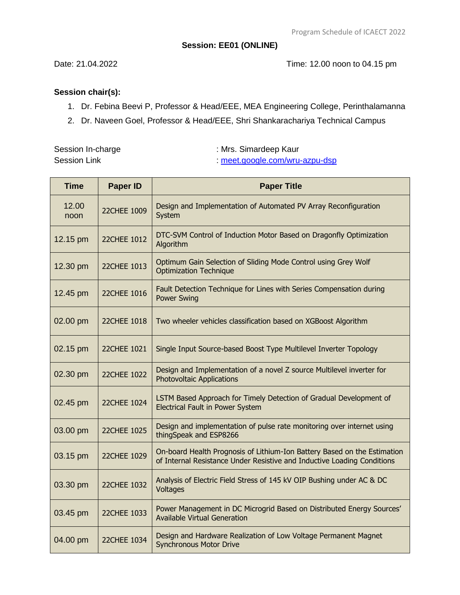# **Session: EE01 (ONLINE)**

Date: 21.04.2022 Time: 12.00 noon to 04.15 pm

# **Session chair(s):**

- 1. Dr. Febina Beevi P, Professor & Head/EEE, MEA Engineering College, Perinthalamanna
- 2. Dr. Naveen Goel, Professor & Head/EEE, Shri Shankarachariya Technical Campus

Session In-charge **Session** In-charge **in the COVID-2014** : Mrs. Simardeep Kaur Session Link :<meet.google.com/wru-azpu-dsp>

| <b>Time</b>   | <b>Paper ID</b>    | <b>Paper Title</b>                                                                                                                                  |
|---------------|--------------------|-----------------------------------------------------------------------------------------------------------------------------------------------------|
| 12.00<br>noon | 22CHEE 1009        | Design and Implementation of Automated PV Array Reconfiguration<br>System                                                                           |
| 12.15 pm      | 22CHEE 1012        | DTC-SVM Control of Induction Motor Based on Dragonfly Optimization<br>Algorithm                                                                     |
| 12.30 pm      | 22CHEE 1013        | Optimum Gain Selection of Sliding Mode Control using Grey Wolf<br><b>Optimization Technique</b>                                                     |
| 12.45 pm      | 22CHEE 1016        | Fault Detection Technique for Lines with Series Compensation during<br><b>Power Swing</b>                                                           |
| 02.00 pm      | 22CHEE 1018        | Two wheeler vehicles classification based on XGBoost Algorithm                                                                                      |
| 02.15 pm      | <b>22CHEE 1021</b> | Single Input Source-based Boost Type Multilevel Inverter Topology                                                                                   |
| 02.30 pm      | 22CHEE 1022        | Design and Implementation of a novel Z source Multilevel inverter for<br><b>Photovoltaic Applications</b>                                           |
| 02.45 pm      | 22CHEE 1024        | LSTM Based Approach for Timely Detection of Gradual Development of<br><b>Electrical Fault in Power System</b>                                       |
| 03.00 pm      | 22CHEE 1025        | Design and implementation of pulse rate monitoring over internet using<br>thingSpeak and ESP8266                                                    |
| 03.15 pm      | 22CHEE 1029        | On-board Health Prognosis of Lithium-Ion Battery Based on the Estimation<br>of Internal Resistance Under Resistive and Inductive Loading Conditions |
| 03.30 pm      | 22CHEE 1032        | Analysis of Electric Field Stress of 145 kV OIP Bushing under AC & DC<br>Voltages                                                                   |
| 03.45 pm      | 22CHEE 1033        | Power Management in DC Microgrid Based on Distributed Energy Sources'<br><b>Available Virtual Generation</b>                                        |
| 04.00 pm      | 22CHEE 1034        | Design and Hardware Realization of Low Voltage Permanent Magnet<br><b>Synchronous Motor Drive</b>                                                   |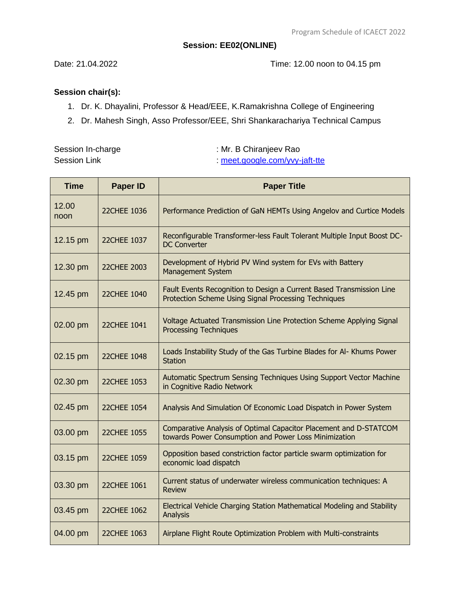### **Session: EE02(ONLINE)**

Date: 21.04.2022 Time: 12.00 noon to 04.15 pm

# **Session chair(s):**

- 1. Dr. K. Dhayalini, Professor & Head/EEE, K.Ramakrishna College of Engineering
- 2. Dr. Mahesh Singh, Asso Professor/EEE, Shri Shankarachariya Technical Campus

|                     | Session In-charge |
|---------------------|-------------------|
| <b>Session Link</b> |                   |

: Mr. B Chiranjeev Rao

:<meet.google.com/yvy-jaft-tte>

| <b>Time</b>   | <b>Paper ID</b>    | <b>Paper Title</b>                                                                                                           |
|---------------|--------------------|------------------------------------------------------------------------------------------------------------------------------|
| 12.00<br>noon | 22CHEE 1036        | Performance Prediction of GaN HEMTs Using Angelov and Curtice Models                                                         |
| 12.15 pm      | 22CHEE 1037        | Reconfigurable Transformer-less Fault Tolerant Multiple Input Boost DC-<br><b>DC Converter</b>                               |
| 12.30 pm      | 22CHEE 2003        | Development of Hybrid PV Wind system for EVs with Battery<br><b>Management System</b>                                        |
| 12.45 pm      | 22CHEE 1040        | Fault Events Recognition to Design a Current Based Transmission Line<br>Protection Scheme Using Signal Processing Techniques |
| 02.00 pm      | 22CHEE 1041        | Voltage Actuated Transmission Line Protection Scheme Applying Signal<br><b>Processing Techniques</b>                         |
| 02.15 pm      | 22CHEE 1048        | Loads Instability Study of the Gas Turbine Blades for Al- Khums Power<br><b>Station</b>                                      |
| 02.30 pm      | 22CHEE 1053        | Automatic Spectrum Sensing Techniques Using Support Vector Machine<br>in Cognitive Radio Network                             |
| 02.45 pm      | 22CHEE 1054        | Analysis And Simulation Of Economic Load Dispatch in Power System                                                            |
| 03.00 pm      | <b>22CHEE 1055</b> | Comparative Analysis of Optimal Capacitor Placement and D-STATCOM<br>towards Power Consumption and Power Loss Minimization   |
| 03.15 pm      | 22CHEE 1059        | Opposition based constriction factor particle swarm optimization for<br>economic load dispatch                               |
| 03.30 pm      | 22CHEE 1061        | Current status of underwater wireless communication techniques: A<br><b>Review</b>                                           |
| 03.45 pm      | 22CHEE 1062        | Electrical Vehicle Charging Station Mathematical Modeling and Stability<br>Analysis                                          |
| 04.00 pm      | 22CHEE 1063        | Airplane Flight Route Optimization Problem with Multi-constraints                                                            |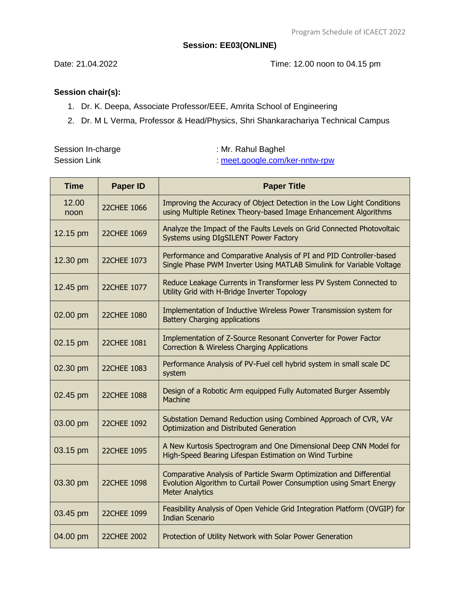### **Session: EE03(ONLINE)**

Date: 21.04.2022 Time: 12.00 noon to 04.15 pm

- 1. Dr. K. Deepa, Associate Professor/EEE, Amrita School of Engineering
- 2. Dr. M L Verma, Professor & Head/Physics, Shri Shankarachariya Technical Campus

| Session In-charge | : Mr. Rahul Baghel           |
|-------------------|------------------------------|
| Session Link      | meet.google.com/ker-nntw-rpw |

| <b>Time</b>   | <b>Paper ID</b>    | <b>Paper Title</b>                                                                                                                                                    |
|---------------|--------------------|-----------------------------------------------------------------------------------------------------------------------------------------------------------------------|
| 12.00<br>noon | 22CHEE 1066        | Improving the Accuracy of Object Detection in the Low Light Conditions<br>using Multiple Retinex Theory-based Image Enhancement Algorithms                            |
| 12.15 pm      | 22CHEE 1069        | Analyze the Impact of the Faults Levels on Grid Connected Photovoltaic<br>Systems using DIgSILENT Power Factory                                                       |
| 12.30 pm      | 22CHEE 1073        | Performance and Comparative Analysis of PI and PID Controller-based<br>Single Phase PWM Inverter Using MATLAB Simulink for Variable Voltage                           |
| 12.45 pm      | 22CHEE 1077        | Reduce Leakage Currents in Transformer less PV System Connected to<br>Utility Grid with H-Bridge Inverter Topology                                                    |
| 02.00 pm      | 22CHEE 1080        | Implementation of Inductive Wireless Power Transmission system for<br><b>Battery Charging applications</b>                                                            |
| 02.15 pm      | 22CHEE 1081        | Implementation of Z-Source Resonant Converter for Power Factor<br>Correction & Wireless Charging Applications                                                         |
| 02.30 pm      | 22CHEE 1083        | Performance Analysis of PV-Fuel cell hybrid system in small scale DC<br>system                                                                                        |
| 02.45 pm      | <b>22CHEE 1088</b> | Design of a Robotic Arm equipped Fully Automated Burger Assembly<br>Machine                                                                                           |
| 03.00 pm      | 22CHEE 1092        | Substation Demand Reduction using Combined Approach of CVR, VAr<br>Optimization and Distributed Generation                                                            |
| 03.15 pm      | 22CHEE 1095        | A New Kurtosis Spectrogram and One Dimensional Deep CNN Model for<br>High-Speed Bearing Lifespan Estimation on Wind Turbine                                           |
| 03.30 pm      | 22CHEE 1098        | Comparative Analysis of Particle Swarm Optimization and Differential<br>Evolution Algorithm to Curtail Power Consumption using Smart Energy<br><b>Meter Analytics</b> |
| 03.45 pm      | 22CHEE 1099        | Feasibility Analysis of Open Vehicle Grid Integration Platform (OVGIP) for<br><b>Indian Scenario</b>                                                                  |
| 04.00 pm      | 22CHEE 2002        | Protection of Utility Network with Solar Power Generation                                                                                                             |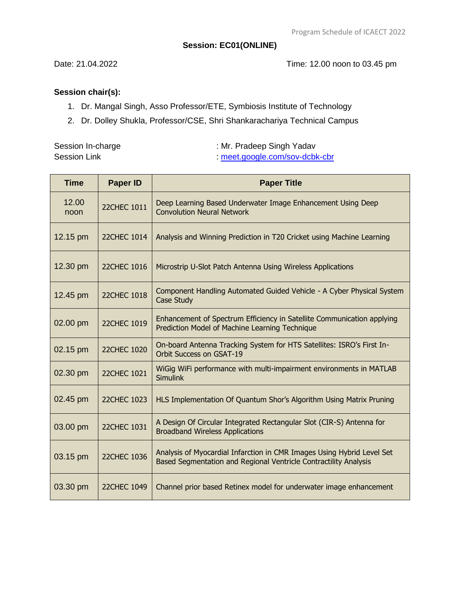### **Session: EC01(ONLINE)**

Date: 21.04.2022 Time: 12.00 noon to 03.45 pm

- 1. Dr. Mangal Singh, Asso Professor/ETE, Symbiosis Institute of Technology
- 2. Dr. Dolley Shukla, Professor/CSE, Shri Shankarachariya Technical Campus

| Session In-charge   | : Mr. Pradeep Singh Yadav    |
|---------------------|------------------------------|
| <b>Session Link</b> | meet.google.com/sov-dcbk-cbr |

| <b>Time</b>   | <b>Paper ID</b>    | <b>Paper Title</b>                                                                                                                         |
|---------------|--------------------|--------------------------------------------------------------------------------------------------------------------------------------------|
| 12.00<br>noon | <b>22CHEC 1011</b> | Deep Learning Based Underwater Image Enhancement Using Deep<br><b>Convolution Neural Network</b>                                           |
| 12.15 pm      | 22CHEC 1014        | Analysis and Winning Prediction in T20 Cricket using Machine Learning                                                                      |
| 12.30 pm      | 22CHEC 1016        | Microstrip U-Slot Patch Antenna Using Wireless Applications                                                                                |
| 12.45 pm      | 22CHEC 1018        | Component Handling Automated Guided Vehicle - A Cyber Physical System<br>Case Study                                                        |
| 02.00 pm      | 22CHEC 1019        | Enhancement of Spectrum Efficiency in Satellite Communication applying<br>Prediction Model of Machine Learning Technique                   |
| 02.15 pm      | 22CHEC 1020        | On-board Antenna Tracking System for HTS Satellites: ISRO's First In-<br><b>Orbit Success on GSAT-19</b>                                   |
| 02.30 pm      | 22CHEC 1021        | WiGig WiFi performance with multi-impairment environments in MATLAB<br><b>Simulink</b>                                                     |
| 02.45 pm      | 22CHEC 1023        | HLS Implementation Of Quantum Shor's Algorithm Using Matrix Pruning                                                                        |
| 03.00 pm      | 22CHEC 1031        | A Design Of Circular Integrated Rectangular Slot (CIR-S) Antenna for<br><b>Broadband Wireless Applications</b>                             |
| 03.15 pm      | 22CHEC 1036        | Analysis of Myocardial Infarction in CMR Images Using Hybrid Level Set<br>Based Segmentation and Regional Ventricle Contractility Analysis |
| 03.30 pm      | 22CHEC 1049        | Channel prior based Retinex model for underwater image enhancement                                                                         |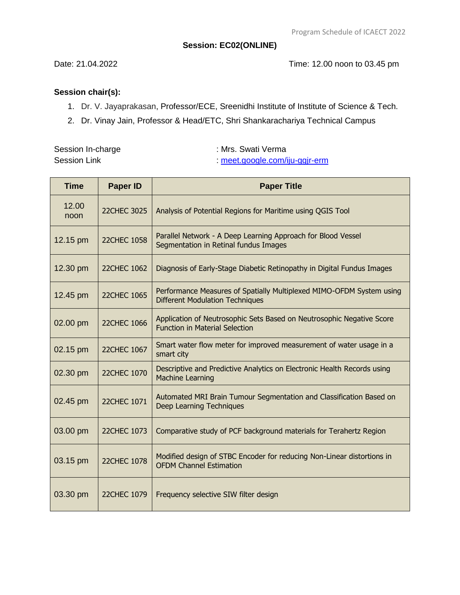### **Session: EC02(ONLINE)**

Date: 21.04.2022 Time: 12.00 noon to 03.45 pm

# **Session chair(s):**

- 1. Dr. V. Jayaprakasan, Professor/ECE, Sreenidhi Institute of Institute of Science & Tech.
- 2. Dr. Vinay Jain, Professor & Head/ETC, Shri Shankarachariya Technical Campus

Session In-charge : Mrs. Swati Verma Session Link :<meet.google.com/iju-ggjr-erm>

| <b>Time</b>   | <b>Paper ID</b>    | <b>Paper Title</b>                                                                                             |
|---------------|--------------------|----------------------------------------------------------------------------------------------------------------|
| 12.00<br>noon | <b>22CHEC 3025</b> | Analysis of Potential Regions for Maritime using QGIS Tool                                                     |
| 12.15 pm      | <b>22CHEC 1058</b> | Parallel Network - A Deep Learning Approach for Blood Vessel<br>Segmentation in Retinal fundus Images          |
| 12.30 pm      | <b>22CHEC 1062</b> | Diagnosis of Early-Stage Diabetic Retinopathy in Digital Fundus Images                                         |
| 12.45 pm      | <b>22CHEC 1065</b> | Performance Measures of Spatially Multiplexed MIMO-OFDM System using<br><b>Different Modulation Techniques</b> |
| 02.00 pm      | <b>22CHEC 1066</b> | Application of Neutrosophic Sets Based on Neutrosophic Negative Score<br><b>Function in Material Selection</b> |
| 02.15 pm      | <b>22CHEC 1067</b> | Smart water flow meter for improved measurement of water usage in a<br>smart city                              |
| 02.30 pm      | 22CHEC 1070        | Descriptive and Predictive Analytics on Electronic Health Records using<br><b>Machine Learning</b>             |
| 02.45 pm      | 22CHEC 1071        | Automated MRI Brain Tumour Segmentation and Classification Based on<br><b>Deep Learning Techniques</b>         |
| 03.00 pm      | 22CHEC 1073        | Comparative study of PCF background materials for Terahertz Region                                             |
| 03.15 pm      | <b>22CHEC 1078</b> | Modified design of STBC Encoder for reducing Non-Linear distortions in<br><b>OFDM Channel Estimation</b>       |
| 03.30 pm      | 22CHEC 1079        | Frequency selective SIW filter design                                                                          |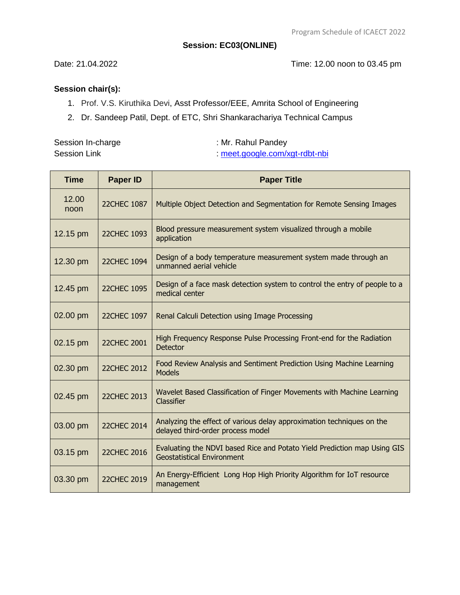#### **Session: EC03(ONLINE)**

Date: 21.04.2022 Time: 12.00 noon to 03.45 pm

- 1. Prof. V.S. Kiruthika Devi, Asst Professor/EEE, Amrita School of Engineering
- 2. Dr. Sandeep Patil, Dept. of ETC, Shri Shankarachariya Technical Campus

| Session In-charge   | : Mr. Rahul Pandey           |
|---------------------|------------------------------|
| <b>Session Link</b> | meet.google.com/xgt-rdbt-nbi |

| <b>Time</b>   | <b>Paper ID</b>    | <b>Paper Title</b>                                                                                            |
|---------------|--------------------|---------------------------------------------------------------------------------------------------------------|
| 12.00<br>noon | <b>22CHEC 1087</b> | Multiple Object Detection and Segmentation for Remote Sensing Images                                          |
| 12.15 pm      | 22CHEC 1093        | Blood pressure measurement system visualized through a mobile<br>application                                  |
| 12.30 pm      | <b>22CHEC 1094</b> | Design of a body temperature measurement system made through an<br>unmanned aerial vehicle                    |
| 12.45 pm      | 22CHEC 1095        | Design of a face mask detection system to control the entry of people to a<br>medical center                  |
| 02.00 pm      | 22CHEC 1097        | Renal Calculi Detection using Image Processing                                                                |
| 02.15 pm      | <b>22CHEC 2001</b> | High Frequency Response Pulse Processing Front-end for the Radiation<br><b>Detector</b>                       |
| 02.30 pm      | <b>22CHEC 2012</b> | Food Review Analysis and Sentiment Prediction Using Machine Learning<br><b>Models</b>                         |
| 02.45 pm      | <b>22CHEC 2013</b> | Wavelet Based Classification of Finger Movements with Machine Learning<br>Classifier                          |
| 03.00 pm      | 22CHEC 2014        | Analyzing the effect of various delay approximation techniques on the<br>delayed third-order process model    |
| 03.15 pm      | 22CHEC 2016        | Evaluating the NDVI based Rice and Potato Yield Prediction map Using GIS<br><b>Geostatistical Environment</b> |
| 03.30 pm      | 22CHEC 2019        | An Energy-Efficient Long Hop High Priority Algorithm for IoT resource<br>management                           |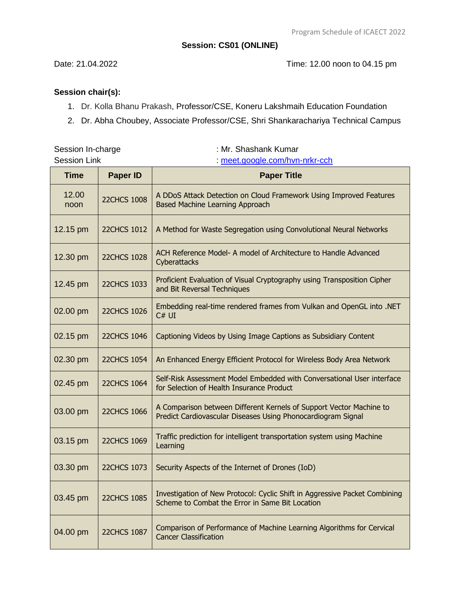#### **Session: CS01 (ONLINE)**

Date: 21.04.2022 Time: 12.00 noon to 04.15 pm

# **Session chair(s):**

1. Dr. Kolla Bhanu Prakash, Professor/CSE, Koneru Lakshmaih Education Foundation

Session In-charge **Session In-charge 3 and 2** and 3 and 3 and 3 and 3 and 3 and 3 and 3 and 3 and 3 and 3 and 3 and 3 and 3 and 3 and 3 and 3 and 3 and 3 and 3 and 3 and 3 and 3 and 3 and 3 and 3 and 3 and 3 and 3 and 3 an

2. Dr. Abha Choubey, Associate Professor/CSE, Shri Shankarachariya Technical Campus

| <b>Session Link</b> |                    | : meet.google.com/hvn-nrkr-cch                                                                                                      |
|---------------------|--------------------|-------------------------------------------------------------------------------------------------------------------------------------|
| <b>Time</b>         | <b>Paper ID</b>    | <b>Paper Title</b>                                                                                                                  |
| 12.00<br>noon       | <b>22CHCS 1008</b> | A DDoS Attack Detection on Cloud Framework Using Improved Features<br><b>Based Machine Learning Approach</b>                        |
| 12.15 pm            | <b>22CHCS 1012</b> | A Method for Waste Segregation using Convolutional Neural Networks                                                                  |
| 12.30 pm            | <b>22CHCS 1028</b> | ACH Reference Model- A model of Architecture to Handle Advanced<br>Cyberattacks                                                     |
| 12.45 pm            | <b>22CHCS 1033</b> | Proficient Evaluation of Visual Cryptography using Transposition Cipher<br>and Bit Reversal Techniques                              |
| 02.00 pm            | <b>22CHCS 1026</b> | Embedding real-time rendered frames from Vulkan and OpenGL into .NET<br>C# UI                                                       |
| 02.15 pm            | <b>22CHCS 1046</b> | Captioning Videos by Using Image Captions as Subsidiary Content                                                                     |
| 02.30 pm            | <b>22CHCS 1054</b> | An Enhanced Energy Efficient Protocol for Wireless Body Area Network                                                                |
| 02.45 pm            | <b>22CHCS 1064</b> | Self-Risk Assessment Model Embedded with Conversational User interface<br>for Selection of Health Insurance Product                 |
| 03.00 pm            | <b>22CHCS 1066</b> | A Comparison between Different Kernels of Support Vector Machine to<br>Predict Cardiovascular Diseases Using Phonocardiogram Signal |
| 03.15 pm            | <b>22CHCS 1069</b> | Traffic prediction for intelligent transportation system using Machine<br>Learning                                                  |
| 03.30 pm            | <b>22CHCS 1073</b> | Security Aspects of the Internet of Drones (IoD)                                                                                    |
| 03.45 pm            | <b>22CHCS 1085</b> | Investigation of New Protocol: Cyclic Shift in Aggressive Packet Combining<br>Scheme to Combat the Error in Same Bit Location       |
| 04.00 pm            | <b>22CHCS 1087</b> | Comparison of Performance of Machine Learning Algorithms for Cervical<br><b>Cancer Classification</b>                               |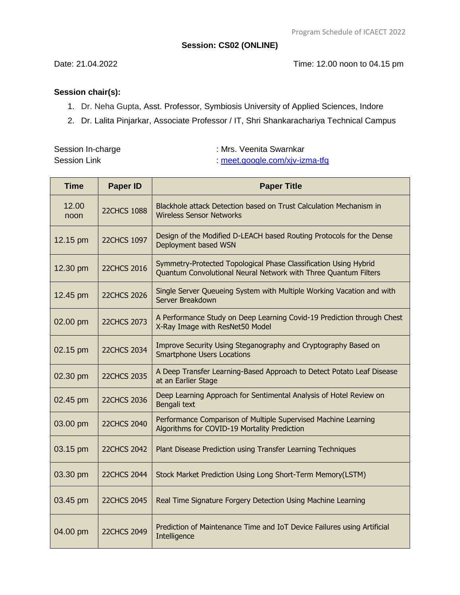#### **Session: CS02 (ONLINE)**

Date: 21.04.2022 Time: 12.00 noon to 04.15 pm

# **Session chair(s):**

- 1. Dr. Neha Gupta, Asst. Professor, Symbiosis University of Applied Sciences, Indore
- 2. Dr. Lalita Pinjarkar, Associate Professor / IT, Shri Shankarachariya Technical Campus

Session In-charge **Session In-charge 3 and 2011** : Mrs. Veenita Swarnkar Session Link :<meet.google.com/xjv-izma-tfq>

| <b>Time</b>   | <b>Paper ID</b>    | <b>Paper Title</b>                                                                                                                  |
|---------------|--------------------|-------------------------------------------------------------------------------------------------------------------------------------|
| 12.00<br>noon | <b>22CHCS 1088</b> | Blackhole attack Detection based on Trust Calculation Mechanism in<br><b>Wireless Sensor Networks</b>                               |
| 12.15 pm      | <b>22CHCS 1097</b> | Design of the Modified D-LEACH based Routing Protocols for the Dense<br>Deployment based WSN                                        |
| 12.30 pm      | <b>22CHCS 2016</b> | Symmetry-Protected Topological Phase Classification Using Hybrid<br>Quantum Convolutional Neural Network with Three Quantum Filters |
| 12.45 pm      | <b>22CHCS 2026</b> | Single Server Queueing System with Multiple Working Vacation and with<br>Server Breakdown                                           |
| 02.00 pm      | <b>22CHCS 2073</b> | A Performance Study on Deep Learning Covid-19 Prediction through Chest<br>X-Ray Image with ResNet50 Model                           |
| 02.15 pm      | <b>22CHCS 2034</b> | Improve Security Using Steganography and Cryptography Based on<br><b>Smartphone Users Locations</b>                                 |
| 02.30 pm      | <b>22CHCS 2035</b> | A Deep Transfer Learning-Based Approach to Detect Potato Leaf Disease<br>at an Earlier Stage                                        |
| 02.45 pm      | <b>22CHCS 2036</b> | Deep Learning Approach for Sentimental Analysis of Hotel Review on<br>Bengali text                                                  |
| 03.00 pm      | <b>22CHCS 2040</b> | Performance Comparison of Multiple Supervised Machine Learning<br>Algorithms for COVID-19 Mortality Prediction                      |
| 03.15 pm      | <b>22CHCS 2042</b> | Plant Disease Prediction using Transfer Learning Techniques                                                                         |
| 03.30 pm      | <b>22CHCS 2044</b> | Stock Market Prediction Using Long Short-Term Memory(LSTM)                                                                          |
| 03.45 pm      | <b>22CHCS 2045</b> | Real Time Signature Forgery Detection Using Machine Learning                                                                        |
| 04.00 pm      | <b>22CHCS 2049</b> | Prediction of Maintenance Time and IoT Device Failures using Artificial<br>Intelligence                                             |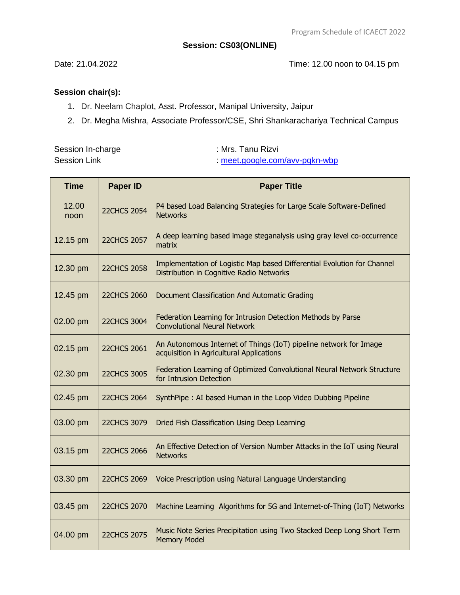#### **Session: CS03(ONLINE)**

Date: 21.04.2022 Time: 12.00 noon to 04.15 pm

- 1. Dr. Neelam Chaplot, Asst. Professor, Manipal University, Jaipur
- 2. Dr. Megha Mishra, Associate Professor/CSE, Shri Shankarachariya Technical Campus

| Session In-charge   | :Mrs. Tanu Rizvi             |
|---------------------|------------------------------|
| <b>Session Link</b> | meet.google.com/avv-pqkn-wbp |

| <b>Time</b>   | <b>Paper ID</b>    | <b>Paper Title</b>                                                                                                  |
|---------------|--------------------|---------------------------------------------------------------------------------------------------------------------|
| 12.00<br>noon | <b>22CHCS 2054</b> | P4 based Load Balancing Strategies for Large Scale Software-Defined<br><b>Networks</b>                              |
| 12.15 pm      | <b>22CHCS 2057</b> | A deep learning based image steganalysis using gray level co-occurrence<br>matrix                                   |
| 12.30 pm      | <b>22CHCS 2058</b> | Implementation of Logistic Map based Differential Evolution for Channel<br>Distribution in Cognitive Radio Networks |
| 12.45 pm      | <b>22CHCS 2060</b> | Document Classification And Automatic Grading                                                                       |
| 02.00 pm      | <b>22CHCS 3004</b> | Federation Learning for Intrusion Detection Methods by Parse<br><b>Convolutional Neural Network</b>                 |
| 02.15 pm      | <b>22CHCS 2061</b> | An Autonomous Internet of Things (IoT) pipeline network for Image<br>acquisition in Agricultural Applications       |
| 02.30 pm      | <b>22CHCS 3005</b> | Federation Learning of Optimized Convolutional Neural Network Structure<br>for Intrusion Detection                  |
| 02.45 pm      | <b>22CHCS 2064</b> | SynthPipe: AI based Human in the Loop Video Dubbing Pipeline                                                        |
| 03.00 pm      | <b>22CHCS 3079</b> | Dried Fish Classification Using Deep Learning                                                                       |
| 03.15 pm      | <b>22CHCS 2066</b> | An Effective Detection of Version Number Attacks in the IoT using Neural<br><b>Networks</b>                         |
| 03.30 pm      | <b>22CHCS 2069</b> | Voice Prescription using Natural Language Understanding                                                             |
| 03.45 pm      | <b>22CHCS 2070</b> | Machine Learning Algorithms for 5G and Internet-of-Thing (IoT) Networks                                             |
| 04.00 pm      | <b>22CHCS 2075</b> | Music Note Series Precipitation using Two Stacked Deep Long Short Term<br><b>Memory Model</b>                       |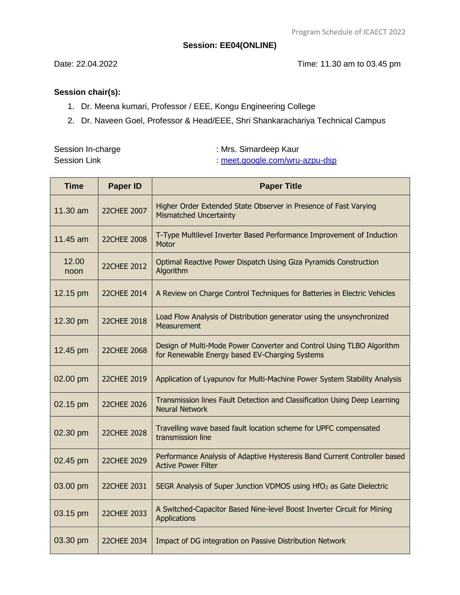#### **Session: EE04(ONLINE)**

Date: 22.04.2022 Time: 11.30 am to 03.45 pm

# **Session chair(s):**

- 1. Dr. Meena kumari, Professor / EEE, Kongu Engineering College
- 2. Dr. Naveen Goel, Professor & Head/EEE, Shri Shankarachariya Technical Campus

Session In-charge **Session** In-charge **in the COVID-20** : Mrs. Simardeep Kaur

Session Link :<meet.google.com/wru-azpu-dsp>

| <b>Time</b>   | <b>Paper ID</b>    | <b>Paper Title</b>                                                                                                      |
|---------------|--------------------|-------------------------------------------------------------------------------------------------------------------------|
| 11.30 am      | 22CHEE 2007        | Higher Order Extended State Observer in Presence of Fast Varying<br><b>Mismatched Uncertainty</b>                       |
| 11.45 am      | <b>22CHEE 2008</b> | T-Type Multilevel Inverter Based Performance Improvement of Induction<br>Motor                                          |
| 12.00<br>noon | <b>22CHEE 2012</b> | Optimal Reactive Power Dispatch Using Giza Pyramids Construction<br>Algorithm                                           |
| 12.15 pm      | 22CHEE 2014        | A Review on Charge Control Techniques for Batteries in Electric Vehicles                                                |
| 12.30 pm      | 22CHEE 2018        | Load Flow Analysis of Distribution generator using the unsynchronized<br>Measurement                                    |
| 12.45 pm      | <b>22CHEE 2068</b> | Design of Multi-Mode Power Converter and Control Using TLBO Algorithm<br>for Renewable Energy based EV-Charging Systems |
| 02.00 pm      | 22CHEE 2019        | Application of Lyapunov for Multi-Machine Power System Stability Analysis                                               |
| 02.15 pm      | 22CHEE 2026        | Transmission lines Fault Detection and Classification Using Deep Learning<br><b>Neural Network</b>                      |
| 02.30 pm      | 22CHEE 2028        | Travelling wave based fault location scheme for UPFC compensated<br>transmission line                                   |
| 02.45 pm      | 22CHEE 2029        | Performance Analysis of Adaptive Hysteresis Band Current Controller based<br><b>Active Power Filter</b>                 |
| 03.00 pm      | 22CHEE 2031        | SEGR Analysis of Super Junction VDMOS using HfO <sub>2</sub> as Gate Dielectric                                         |
| 03.15 pm      | 22CHEE 2033        | A Switched-Capacitor Based Nine-level Boost Inverter Circuit for Mining<br>Applications                                 |
| 03.30 pm      | 22CHEE 2034        | Impact of DG integration on Passive Distribution Network                                                                |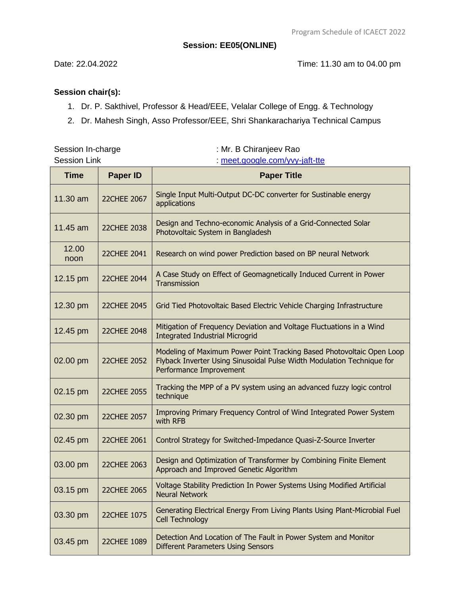#### **Session: EE05(ONLINE)**

Date: 22.04.2022 Time: 11.30 am to 04.00 pm

# **Session chair(s):**

1. Dr. P. Sakthivel, Professor & Head/EEE, Velalar College of Engg. & Technology

Session In-charge : Mr. B Chiranjeev Rao

2. Dr. Mahesh Singh, Asso Professor/EEE, Shri Shankarachariya Technical Campus

| <b>Session Link</b> |                    | : meet.google.com/yvy-jaft-tte                                                                                                                                             |
|---------------------|--------------------|----------------------------------------------------------------------------------------------------------------------------------------------------------------------------|
| <b>Time</b>         | <b>Paper ID</b>    | <b>Paper Title</b>                                                                                                                                                         |
| 11.30 am            | 22CHEE 2067        | Single Input Multi-Output DC-DC converter for Sustinable energy<br>applications                                                                                            |
| 11.45 am            | 22CHEE 2038        | Design and Techno-economic Analysis of a Grid-Connected Solar<br>Photovoltaic System in Bangladesh                                                                         |
| 12.00<br>noon       | 22CHEE 2041        | Research on wind power Prediction based on BP neural Network                                                                                                               |
| 12.15 pm            | 22CHEE 2044        | A Case Study on Effect of Geomagnetically Induced Current in Power<br>Transmission                                                                                         |
| 12.30 pm            | 22CHEE 2045        | Grid Tied Photovoltaic Based Electric Vehicle Charging Infrastructure                                                                                                      |
| 12.45 pm            | 22CHEE 2048        | Mitigation of Frequency Deviation and Voltage Fluctuations in a Wind<br><b>Integrated Industrial Microgrid</b>                                                             |
| 02.00 pm            | <b>22CHEE 2052</b> | Modeling of Maximum Power Point Tracking Based Photovoltaic Open Loop<br>Flyback Inverter Using Sinusoidal Pulse Width Modulation Technique for<br>Performance Improvement |
| 02.15 pm            | <b>22CHEE 2055</b> | Tracking the MPP of a PV system using an advanced fuzzy logic control<br>technique                                                                                         |
| 02.30 pm            | 22CHEE 2057        | Improving Primary Frequency Control of Wind Integrated Power System<br>with RFB                                                                                            |
| 02.45 pm            | 22CHEE 2061        | Control Strategy for Switched-Impedance Quasi-Z-Source Inverter                                                                                                            |
| 03.00 pm            | 22CHEE 2063        | Design and Optimization of Transformer by Combining Finite Element<br>Approach and Improved Genetic Algorithm                                                              |
| 03.15 pm            | 22CHEE 2065        | Voltage Stability Prediction In Power Systems Using Modified Artificial<br><b>Neural Network</b>                                                                           |
| 03.30 pm            | 22CHEE 1075        | Generating Electrical Energy From Living Plants Using Plant-Microbial Fuel<br>Cell Technology                                                                              |
| 03.45 pm            | 22CHEE 1089        | Detection And Location of The Fault in Power System and Monitor<br><b>Different Parameters Using Sensors</b>                                                               |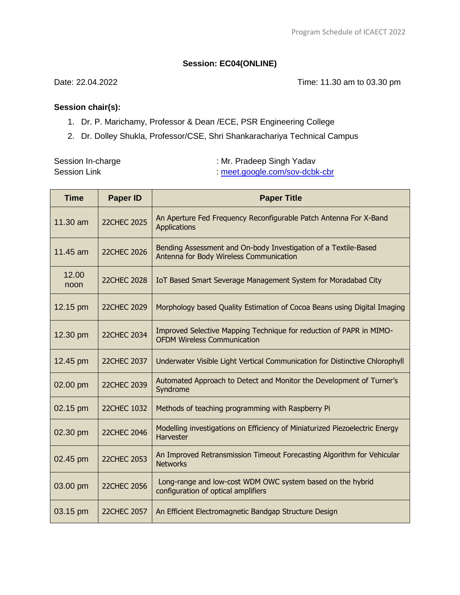# **Session: EC04(ONLINE)**

Date: 22.04.2022 Time: 11.30 am to 03.30 pm

- 1. Dr. P. Marichamy, Professor & Dean /ECE, PSR Engineering College
- 2. Dr. Dolley Shukla, Professor/CSE, Shri Shankarachariya Technical Campus

| Session In-charge   | : Mr. Pradeep Singh Yadav    |
|---------------------|------------------------------|
| <b>Session Link</b> | meet.google.com/sov-dcbk-cbr |

| <b>Time</b>   | <b>Paper ID</b>    | <b>Paper Title</b>                                                                                         |
|---------------|--------------------|------------------------------------------------------------------------------------------------------------|
| 11.30 am      | <b>22CHEC 2025</b> | An Aperture Fed Frequency Reconfigurable Patch Antenna For X-Band<br>Applications                          |
| 11.45 am      | <b>22CHEC 2026</b> | Bending Assessment and On-body Investigation of a Textile-Based<br>Antenna for Body Wireless Communication |
| 12.00<br>noon | <b>22CHEC 2028</b> | IoT Based Smart Severage Management System for Moradabad City                                              |
| 12.15 pm      | <b>22CHEC 2029</b> | Morphology based Quality Estimation of Cocoa Beans using Digital Imaging                                   |
| 12.30 pm      | <b>22CHEC 2034</b> | Improved Selective Mapping Technique for reduction of PAPR in MIMO-<br><b>OFDM Wireless Communication</b>  |
| 12.45 pm      | <b>22CHEC 2037</b> | Underwater Visible Light Vertical Communication for Distinctive Chlorophyll                                |
| 02.00 pm      | 22CHEC 2039        | Automated Approach to Detect and Monitor the Development of Turner's<br>Syndrome                           |
| 02.15 pm      | 22CHEC 1032        | Methods of teaching programming with Raspberry Pi                                                          |
| 02.30 pm      | <b>22CHEC 2046</b> | Modelling investigations on Efficiency of Miniaturized Piezoelectric Energy<br>Harvester                   |
| 02.45 pm      | <b>22CHEC 2053</b> | An Improved Retransmission Timeout Forecasting Algorithm for Vehicular<br><b>Networks</b>                  |
| 03.00 pm      | <b>22CHEC 2056</b> | Long-range and low-cost WDM OWC system based on the hybrid<br>configuration of optical amplifiers          |
| 03.15 pm      | <b>22CHEC 2057</b> | An Efficient Electromagnetic Bandgap Structure Design                                                      |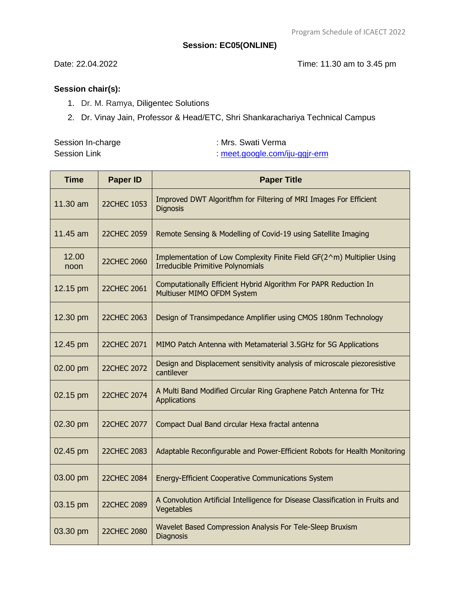#### **Session: EC05(ONLINE)**

Date: 22.04.2022 Time: 11.30 am to 3.45 pm

- 1. Dr. M. Ramya, Diligentec Solutions
- 2. Dr. Vinay Jain, Professor & Head/ETC, Shri Shankarachariya Technical Campus

| Session In-charge   | : Mrs. Swati Verma           |
|---------------------|------------------------------|
| <b>Session Link</b> | meet.google.com/iju-ggjr-erm |

| <b>Time</b>   | <b>Paper ID</b>    | <b>Paper Title</b>                                                                                                 |
|---------------|--------------------|--------------------------------------------------------------------------------------------------------------------|
| 11.30 am      | <b>22CHEC 1053</b> | Improved DWT Algoritfhm for Filtering of MRI Images For Efficient<br><b>Dignosis</b>                               |
| 11.45 am      | <b>22CHEC 2059</b> | Remote Sensing & Modelling of Covid-19 using Satellite Imaging                                                     |
| 12.00<br>noon | <b>22CHEC 2060</b> | Implementation of Low Complexity Finite Field GF(2^m) Multiplier Using<br><b>Irreducible Primitive Polynomials</b> |
| 12.15 pm      | <b>22CHEC 2061</b> | Computationally Efficient Hybrid Algorithm For PAPR Reduction In<br>Multiuser MIMO OFDM System                     |
| 12.30 pm      | 22CHEC 2063        | Design of Transimpedance Amplifier using CMOS 180nm Technology                                                     |
| 12.45 pm      | 22CHEC 2071        | MIMO Patch Antenna with Metamaterial 3.5GHz for 5G Applications                                                    |
| 02.00 pm      | <b>22CHEC 2072</b> | Design and Displacement sensitivity analysis of microscale piezoresistive<br>cantilever                            |
| 02.15 pm      | <b>22CHEC 2074</b> | A Multi Band Modified Circular Ring Graphene Patch Antenna for THz<br><b>Applications</b>                          |
| 02.30 pm      | 22CHEC 2077        | Compact Dual Band circular Hexa fractal antenna                                                                    |
| 02.45 pm      | <b>22CHEC 2083</b> | Adaptable Reconfigurable and Power-Efficient Robots for Health Monitoring                                          |
| 03.00 pm      | <b>22CHEC 2084</b> | Energy-Efficient Cooperative Communications System                                                                 |
| 03.15 pm      | <b>22CHEC 2089</b> | A Convolution Artificial Intelligence for Disease Classification in Fruits and<br>Vegetables                       |
| 03.30 pm      | <b>22CHEC 2080</b> | Wavelet Based Compression Analysis For Tele-Sleep Bruxism<br>Diagnosis                                             |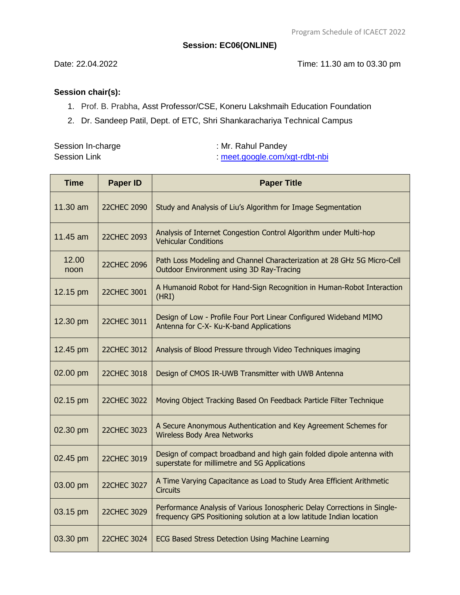#### **Session: EC06(ONLINE)**

Date: 22.04.2022 Time: 11.30 am to 03.30 pm

- 1. Prof. B. Prabha, Asst Professor/CSE, Koneru Lakshmaih Education Foundation
- 2. Dr. Sandeep Patil, Dept. of ETC, Shri Shankarachariya Technical Campus

| Session In-charge   | : Mr. Rahul Pandey           |
|---------------------|------------------------------|
| <b>Session Link</b> | meet.google.com/xgt-rdbt-nbi |

| <b>Time</b>   | <b>Paper ID</b>    | <b>Paper Title</b>                                                                                                                               |
|---------------|--------------------|--------------------------------------------------------------------------------------------------------------------------------------------------|
| 11.30 am      | 22CHEC 2090        | Study and Analysis of Liu's Algorithm for Image Segmentation                                                                                     |
| 11.45 am      | <b>22CHEC 2093</b> | Analysis of Internet Congestion Control Algorithm under Multi-hop<br><b>Vehicular Conditions</b>                                                 |
| 12.00<br>noon | <b>22CHEC 2096</b> | Path Loss Modeling and Channel Characterization at 28 GHz 5G Micro-Cell<br><b>Outdoor Environment using 3D Ray-Tracing</b>                       |
| 12.15 pm      | <b>22CHEC 3001</b> | A Humanoid Robot for Hand-Sign Recognition in Human-Robot Interaction<br>(HRI)                                                                   |
| 12.30 pm      | <b>22CHEC 3011</b> | Design of Low - Profile Four Port Linear Configured Wideband MIMO<br>Antenna for C-X- Ku-K-band Applications                                     |
| 12.45 pm      | 22CHEC 3012        | Analysis of Blood Pressure through Video Techniques imaging                                                                                      |
| 02.00 pm      | 22CHEC 3018        | Design of CMOS IR-UWB Transmitter with UWB Antenna                                                                                               |
| 02.15 pm      | <b>22CHEC 3022</b> | Moving Object Tracking Based On Feedback Particle Filter Technique                                                                               |
| 02.30 pm      | <b>22CHEC 3023</b> | A Secure Anonymous Authentication and Key Agreement Schemes for<br><b>Wireless Body Area Networks</b>                                            |
| 02.45 pm      | 22CHEC 3019        | Design of compact broadband and high gain folded dipole antenna with<br>superstate for millimetre and 5G Applications                            |
| 03.00 pm      | <b>22CHEC 3027</b> | A Time Varying Capacitance as Load to Study Area Efficient Arithmetic<br><b>Circuits</b>                                                         |
| 03.15 pm      | 22CHEC 3029        | Performance Analysis of Various Ionospheric Delay Corrections in Single-<br>frequency GPS Positioning solution at a low latitude Indian location |
| 03.30 pm      | 22CHEC 3024        | ECG Based Stress Detection Using Machine Learning                                                                                                |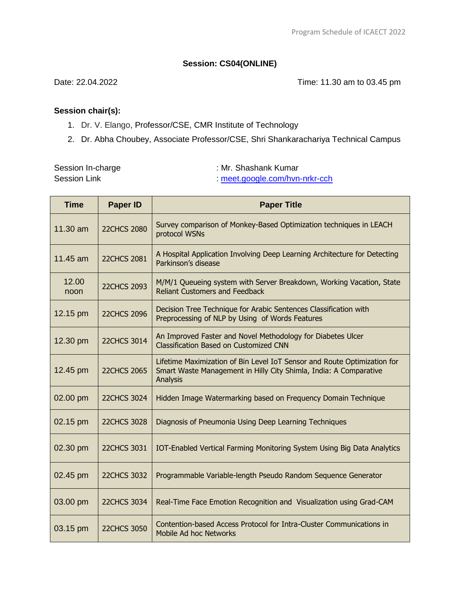### **Session: CS04(ONLINE)**

Date: 22.04.2022 Time: 11.30 am to 03.45 pm

#### **Session chair(s):**

- 1. Dr. V. Elango, Professor/CSE, CMR Institute of Technology
- 2. Dr. Abha Choubey, Associate Professor/CSE, Shri Shankarachariya Technical Campus

Session In-charge **Session In-charge 3 and 2** and 3 and 3 and 3 and 3 and 3 and 3 and 3 and 3 and 3 and 3 and 3 and 3 and 3 and 3 and 3 and 3 and 3 and 3 and 3 and 3 and 3 and 3 and 3 and 3 and 3 and 3 and 3 and 3 and 3 an

Session Link :<meet.google.com/hvn-nrkr-cch>

| <b>Time</b>   | <b>Paper ID</b>    | <b>Paper Title</b>                                                                                                                                        |
|---------------|--------------------|-----------------------------------------------------------------------------------------------------------------------------------------------------------|
| 11.30 am      | <b>22CHCS 2080</b> | Survey comparison of Monkey-Based Optimization techniques in LEACH<br>protocol WSNs                                                                       |
| 11.45 am      | <b>22CHCS 2081</b> | A Hospital Application Involving Deep Learning Architecture for Detecting<br>Parkinson's disease                                                          |
| 12.00<br>noon | <b>22CHCS 2093</b> | M/M/1 Queueing system with Server Breakdown, Working Vacation, State<br><b>Reliant Customers and Feedback</b>                                             |
| 12.15 pm      | <b>22CHCS 2096</b> | Decision Tree Technique for Arabic Sentences Classification with<br>Preprocessing of NLP by Using of Words Features                                       |
| 12.30 pm      | <b>22CHCS 3014</b> | An Improved Faster and Novel Methodology for Diabetes Ulcer<br><b>Classification Based on Customized CNN</b>                                              |
| 12.45 pm      | <b>22CHCS 2065</b> | Lifetime Maximization of Bin Level IoT Sensor and Route Optimization for<br>Smart Waste Management in Hilly City Shimla, India: A Comparative<br>Analysis |
| 02.00 pm      | <b>22CHCS 3024</b> | Hidden Image Watermarking based on Frequency Domain Technique                                                                                             |
| 02.15 pm      | <b>22CHCS 3028</b> | Diagnosis of Pneumonia Using Deep Learning Techniques                                                                                                     |
| 02.30 pm      | <b>22CHCS 3031</b> | IOT-Enabled Vertical Farming Monitoring System Using Big Data Analytics                                                                                   |
| 02.45 pm      | <b>22CHCS 3032</b> | Programmable Variable-length Pseudo Random Sequence Generator                                                                                             |
| 03.00 pm      | <b>22CHCS 3034</b> | Real-Time Face Emotion Recognition and Visualization using Grad-CAM                                                                                       |
| 03.15 pm      | <b>22CHCS 3050</b> | Contention-based Access Protocol for Intra-Cluster Communications in<br>Mobile Ad hoc Networks                                                            |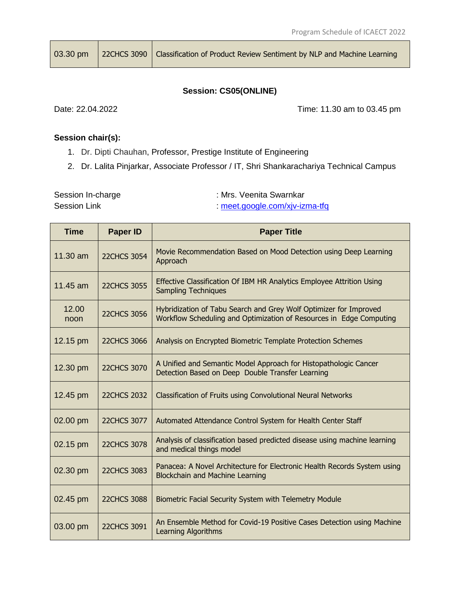03.30 pm | 22CHCS 3090 | Classification of Product Review Sentiment by NLP and Machine Learning

# **Session: CS05(ONLINE)**

Date: 22.04.2022 Time: 11.30 am to 03.45 pm

### **Session chair(s):**

- 1. Dr. Dipti Chauhan, Professor, Prestige Institute of Engineering
- 2. Dr. Lalita Pinjarkar, Associate Professor / IT, Shri Shankarachariya Technical Campus

Session In-charge **Session In-charge 3 and 2** and 3 and 3 and 3 and 3 and 3 and 3 and 3 and 3 and 3 and 3 and 3 and 3 and 3 and 3 and 3 and 3 and 3 and 3 and 3 and 3 and 3 and 3 and 3 and 3 and 3 and 3 and 3 and 3 and 3 an

Session Link :<meet.google.com/xjv-izma-tfq>

| <b>Time</b>        | <b>Paper ID</b>    | <b>Paper Title</b>                                                                                                                       |
|--------------------|--------------------|------------------------------------------------------------------------------------------------------------------------------------------|
| $11.30 \text{ am}$ | <b>22CHCS 3054</b> | Movie Recommendation Based on Mood Detection using Deep Learning<br>Approach                                                             |
| 11.45 am           | <b>22CHCS 3055</b> | Effective Classification Of IBM HR Analytics Employee Attrition Using<br><b>Sampling Techniques</b>                                      |
| 12.00<br>noon      | <b>22CHCS 3056</b> | Hybridization of Tabu Search and Grey Wolf Optimizer for Improved<br>Workflow Scheduling and Optimization of Resources in Edge Computing |
| 12.15 pm           | 22CHCS 3066        | Analysis on Encrypted Biometric Template Protection Schemes                                                                              |
| 12.30 pm           | <b>22CHCS 3070</b> | A Unified and Semantic Model Approach for Histopathologic Cancer<br>Detection Based on Deep Double Transfer Learning                     |
| 12.45 pm           | <b>22CHCS 2032</b> | Classification of Fruits using Convolutional Neural Networks                                                                             |
| 02.00 pm           | 22CHCS 3077        | Automated Attendance Control System for Health Center Staff                                                                              |
| 02.15 pm           | <b>22CHCS 3078</b> | Analysis of classification based predicted disease using machine learning<br>and medical things model                                    |
| 02.30 pm           | <b>22CHCS 3083</b> | Panacea: A Novel Architecture for Electronic Health Records System using<br><b>Blockchain and Machine Learning</b>                       |
| 02.45 pm           | <b>22CHCS 3088</b> | Biometric Facial Security System with Telemetry Module                                                                                   |
| 03.00 pm           | <b>22CHCS 3091</b> | An Ensemble Method for Covid-19 Positive Cases Detection using Machine<br><b>Learning Algorithms</b>                                     |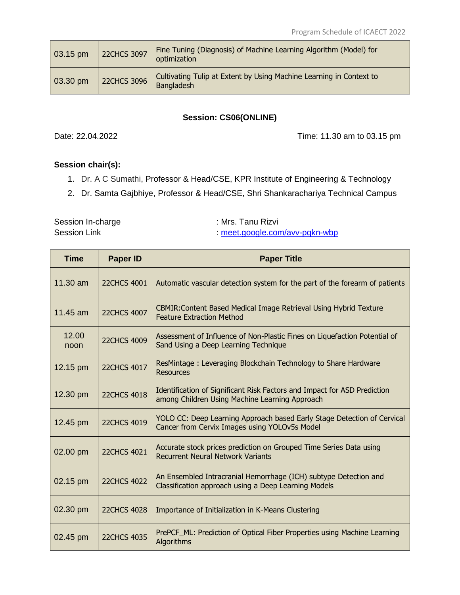| $\sqrt{03.15}$ pm | <b>22CHCS 3097</b> | Fine Tuning (Diagnosis) of Machine Learning Algorithm (Model) for<br>optimization |
|-------------------|--------------------|-----------------------------------------------------------------------------------|
| $\vert$ 03.30 pm  | <b>22CHCS 3096</b> | Cultivating Tulip at Extent by Using Machine Learning in Context to<br>Bangladesh |

#### **Session: CS06(ONLINE)**

Date: 22.04.2022 Time: 11.30 am to 03.15 pm

# **Session chair(s):**

- 1. Dr. A C Sumathi, Professor & Head/CSE, KPR Institute of Engineering & Technology
- 2. Dr. Samta Gajbhiye, Professor & Head/CSE, Shri Shankarachariya Technical Campus

Session In-charge : Mrs. Tanu Rizvi Session Link :<meet.google.com/avv-pqkn-wbp>

| Time          | <b>Paper ID</b>    | <b>Paper Title</b>                                                                                                         |
|---------------|--------------------|----------------------------------------------------------------------------------------------------------------------------|
| $11.30$ am    | <b>22CHCS 4001</b> | Automatic vascular detection system for the part of the forearm of patients                                                |
| 11.45 $am$    | <b>22CHCS 4007</b> | CBMIR: Content Based Medical Image Retrieval Using Hybrid Texture<br><b>Feature Extraction Method</b>                      |
| 12.00<br>noon | <b>22CHCS 4009</b> | Assessment of Influence of Non-Plastic Fines on Liquefaction Potential of<br>Sand Using a Deep Learning Technique          |
| 12.15 pm      | <b>22CHCS 4017</b> | ResMintage: Leveraging Blockchain Technology to Share Hardware<br><b>Resources</b>                                         |
| 12.30 pm      | <b>22CHCS 4018</b> | Identification of Significant Risk Factors and Impact for ASD Prediction<br>among Children Using Machine Learning Approach |
| 12.45 pm      | <b>22CHCS 4019</b> | YOLO CC: Deep Learning Approach based Early Stage Detection of Cervical<br>Cancer from Cervix Images using YOLOv5s Model   |
| 02.00 pm      | <b>22CHCS 4021</b> | Accurate stock prices prediction on Grouped Time Series Data using<br><b>Recurrent Neural Network Variants</b>             |
| 02.15 pm      | <b>22CHCS 4022</b> | An Ensembled Intracranial Hemorrhage (ICH) subtype Detection and<br>Classification approach using a Deep Learning Models   |
| 02.30 pm      | <b>22CHCS 4028</b> | Importance of Initialization in K-Means Clustering                                                                         |
| 02.45 pm      | <b>22CHCS 4035</b> | PrePCF_ML: Prediction of Optical Fiber Properties using Machine Learning<br>Algorithms                                     |